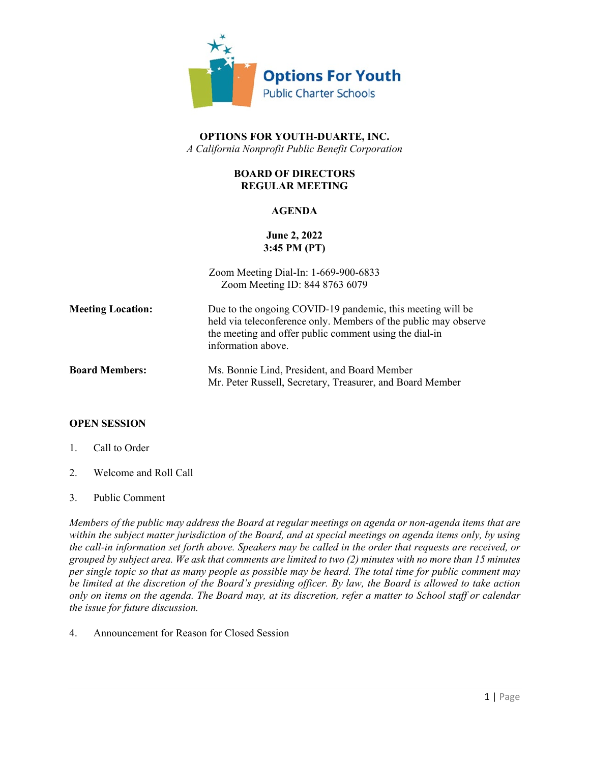

## **OPTIONS FOR YOUTH-DUARTE, INC.** *A California Nonprofit Public Benefit Corporation*

## **BOARD OF DIRECTORS REGULAR MEETING**

### **AGENDA**

# **June 2, 2022 3:45 PM (PT)**

|                          | Zoom Meeting Dial-In: 1-669-900-6833<br>Zoom Meeting ID: 844 8763 6079                                                                                                                                        |
|--------------------------|---------------------------------------------------------------------------------------------------------------------------------------------------------------------------------------------------------------|
| <b>Meeting Location:</b> | Due to the ongoing COVID-19 pandemic, this meeting will be<br>held via teleconference only. Members of the public may observe<br>the meeting and offer public comment using the dial-in<br>information above. |
| <b>Board Members:</b>    | Ms. Bonnie Lind, President, and Board Member<br>Mr. Peter Russell, Secretary, Treasurer, and Board Member                                                                                                     |

#### **OPEN SESSION**

- 1. Call to Order
- 2. Welcome and Roll Call
- 3. Public Comment

*Members of the public may address the Board at regular meetings on agenda or non-agenda items that are within the subject matter jurisdiction of the Board, and at special meetings on agenda items only, by using the call-in information set forth above. Speakers may be called in the order that requests are received, or grouped by subject area. We ask that comments are limited to two (2) minutes with no more than 15 minutes per single topic so that as many people as possible may be heard. The total time for public comment may be limited at the discretion of the Board's presiding officer. By law, the Board is allowed to take action only on items on the agenda. The Board may, at its discretion, refer a matter to School staff or calendar the issue for future discussion.*

4. Announcement for Reason for Closed Session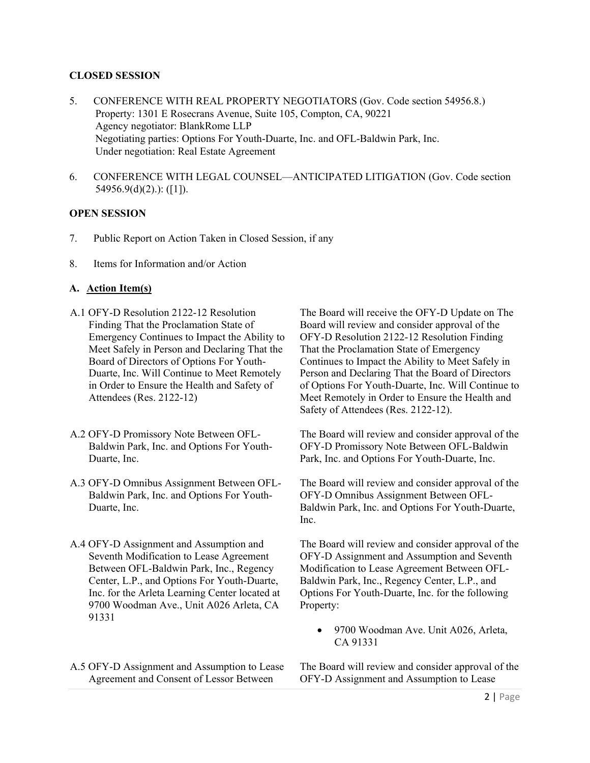#### **CLOSED SESSION**

- 5. CONFERENCE WITH REAL PROPERTY NEGOTIATORS (Gov. Code section 54956.8.) Property: 1301 E Rosecrans Avenue, Suite 105, Compton, CA, 90221 Agency negotiator: BlankRome LLP Negotiating parties: Options For Youth-Duarte, Inc. and OFL-Baldwin Park, Inc. Under negotiation: Real Estate Agreement
- 6. CONFERENCE WITH LEGAL COUNSEL—ANTICIPATED LITIGATION (Gov. Code section 54956.9(d)(2).): ([1]).

#### **OPEN SESSION**

- 7. Public Report on Action Taken in Closed Session, if any
- 8. Items for Information and/or Action

### **A. Action Item(s)**

- A.1 OFY-D Resolution 2122-12 Resolution Finding That the Proclamation State of Emergency Continues to Impact the Ability to Meet Safely in Person and Declaring That the Board of Directors of Options For Youth-Duarte, Inc. Will Continue to Meet Remotely in Order to Ensure the Health and Safety of Attendees (Res. 2122-12)
- A.2 OFY-D Promissory Note Between OFL-Baldwin Park, Inc. and Options For Youth-Duarte, Inc.
- A.3 OFY-D Omnibus Assignment Between OFL-Baldwin Park, Inc. and Options For Youth-Duarte, Inc.
- A.4 OFY-D Assignment and Assumption and Seventh Modification to Lease Agreement Between OFL-Baldwin Park, Inc., Regency Center, L.P., and Options For Youth-Duarte, Inc. for the Arleta Learning Center located at 9700 Woodman Ave., Unit A026 Arleta, CA 91331
- A.5 OFY-D Assignment and Assumption to Lease Agreement and Consent of Lessor Between

The Board will receive the OFY-D Update on The Board will review and consider approval of the OFY-D Resolution 2122-12 Resolution Finding That the Proclamation State of Emergency Continues to Impact the Ability to Meet Safely in Person and Declaring That the Board of Directors of Options For Youth-Duarte, Inc. Will Continue to Meet Remotely in Order to Ensure the Health and Safety of Attendees (Res. 2122-12).

The Board will review and consider approval of the OFY-D Promissory Note Between OFL-Baldwin Park, Inc. and Options For Youth-Duarte, Inc.

The Board will review and consider approval of the OFY-D Omnibus Assignment Between OFL-Baldwin Park, Inc. and Options For Youth-Duarte, Inc.

The Board will review and consider approval of the OFY-D Assignment and Assumption and Seventh Modification to Lease Agreement Between OFL-Baldwin Park, Inc., Regency Center, L.P., and Options For Youth-Duarte, Inc. for the following Property:

• 9700 Woodman Ave. Unit A026, Arleta, CA 91331

The Board will review and consider approval of the OFY-D Assignment and Assumption to Lease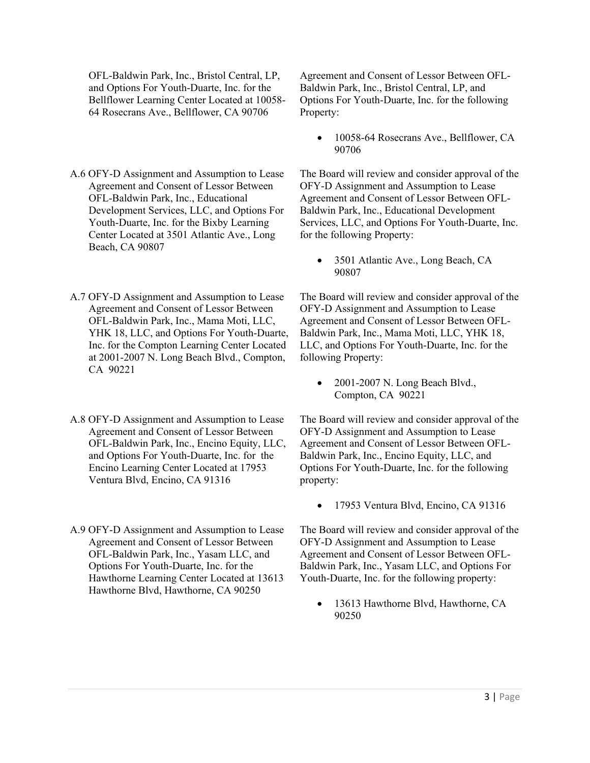OFL-Baldwin Park, Inc., Bristol Central, LP, and Options For Youth-Duarte, Inc. for the Bellflower Learning Center Located at 10058- 64 Rosecrans Ave., Bellflower, CA 90706

- A.6 OFY-D Assignment and Assumption to Lease Agreement and Consent of Lessor Between OFL-Baldwin Park, Inc., Educational Development Services, LLC, and Options For Youth-Duarte, Inc. for the Bixby Learning Center Located at 3501 Atlantic Ave., Long Beach, CA 90807
- A.7 OFY-D Assignment and Assumption to Lease Agreement and Consent of Lessor Between OFL-Baldwin Park, Inc., Mama Moti, LLC, YHK 18, LLC, and Options For Youth-Duarte, Inc. for the Compton Learning Center Located at 2001-2007 N. Long Beach Blvd., Compton, CA 90221
- A.8 OFY-D Assignment and Assumption to Lease Agreement and Consent of Lessor Between OFL-Baldwin Park, Inc., Encino Equity, LLC, and Options For Youth-Duarte, Inc. for the Encino Learning Center Located at 17953 Ventura Blvd, Encino, CA 91316
- A.9 OFY-D Assignment and Assumption to Lease Agreement and Consent of Lessor Between OFL-Baldwin Park, Inc., Yasam LLC, and Options For Youth-Duarte, Inc. for the Hawthorne Learning Center Located at 13613 Hawthorne Blvd, Hawthorne, CA 90250

Agreement and Consent of Lessor Between OFL-Baldwin Park, Inc., Bristol Central, LP, and Options For Youth-Duarte, Inc. for the following Property:

• 10058-64 Rosecrans Ave., Bellflower, CA 90706

The Board will review and consider approval of the OFY-D Assignment and Assumption to Lease Agreement and Consent of Lessor Between OFL-Baldwin Park, Inc., Educational Development Services, LLC, and Options For Youth-Duarte, Inc. for the following Property:

• 3501 Atlantic Ave., Long Beach, CA 90807

The Board will review and consider approval of the OFY-D Assignment and Assumption to Lease Agreement and Consent of Lessor Between OFL-Baldwin Park, Inc., Mama Moti, LLC, YHK 18, LLC, and Options For Youth-Duarte, Inc. for the following Property:

• 2001-2007 N. Long Beach Blvd., Compton, CA 90221

The Board will review and consider approval of the OFY-D Assignment and Assumption to Lease Agreement and Consent of Lessor Between OFL-Baldwin Park, Inc., Encino Equity, LLC, and Options For Youth-Duarte, Inc. for the following property:

• 17953 Ventura Blvd, Encino, CA 91316

The Board will review and consider approval of the OFY-D Assignment and Assumption to Lease Agreement and Consent of Lessor Between OFL-Baldwin Park, Inc., Yasam LLC, and Options For Youth-Duarte, Inc. for the following property:

• 13613 Hawthorne Blvd, Hawthorne, CA 90250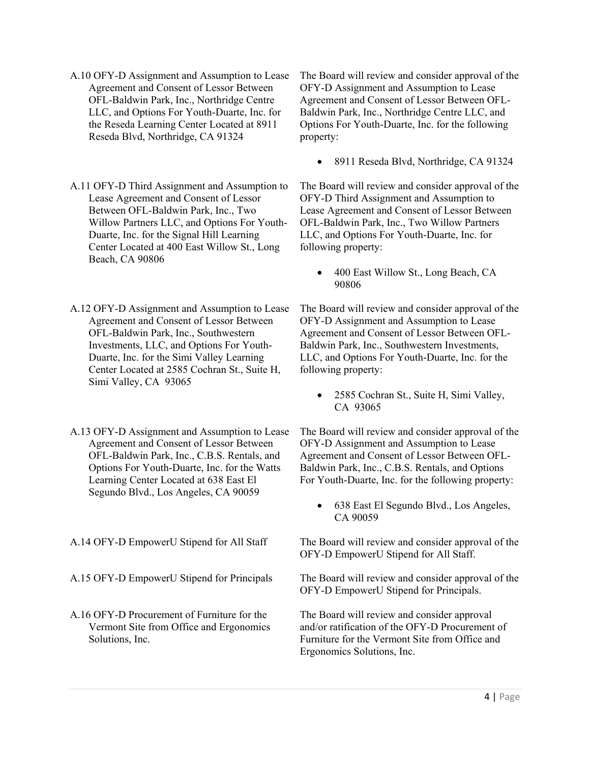- A.10 OFY-D Assignment and Assumption to Lease Agreement and Consent of Lessor Between OFL-Baldwin Park, Inc., Northridge Centre LLC, and Options For Youth-Duarte, Inc. for the Reseda Learning Center Located at 8911 Reseda Blvd, Northridge, CA 91324
- A.11 OFY-D Third Assignment and Assumption to Lease Agreement and Consent of Lessor Between OFL-Baldwin Park, Inc., Two Willow Partners LLC, and Options For Youth-Duarte, Inc. for the Signal Hill Learning Center Located at 400 East Willow St., Long Beach, CA 90806
- A.12 OFY-D Assignment and Assumption to Lease Agreement and Consent of Lessor Between OFL-Baldwin Park, Inc., Southwestern Investments, LLC, and Options For Youth-Duarte, Inc. for the Simi Valley Learning Center Located at 2585 Cochran St., Suite H, Simi Valley, CA 93065
- A.13 OFY-D Assignment and Assumption to Lease Agreement and Consent of Lessor Between OFL-Baldwin Park, Inc., C.B.S. Rentals, and Options For Youth-Duarte, Inc. for the Watts Learning Center Located at 638 East El Segundo Blvd., Los Angeles, CA 90059
- 
- 
- A.16 OFY-D Procurement of Furniture for the Vermont Site from Office and Ergonomics Solutions, Inc.

The Board will review and consider approval of the OFY-D Assignment and Assumption to Lease Agreement and Consent of Lessor Between OFL-Baldwin Park, Inc., Northridge Centre LLC, and Options For Youth-Duarte, Inc. for the following property:

• 8911 Reseda Blvd, Northridge, CA 91324

The Board will review and consider approval of the OFY-D Third Assignment and Assumption to Lease Agreement and Consent of Lessor Between OFL-Baldwin Park, Inc., Two Willow Partners LLC, and Options For Youth-Duarte, Inc. for following property:

• 400 East Willow St., Long Beach, CA 90806

The Board will review and consider approval of the OFY-D Assignment and Assumption to Lease Agreement and Consent of Lessor Between OFL-Baldwin Park, Inc., Southwestern Investments, LLC, and Options For Youth-Duarte, Inc. for the following property:

• 2585 Cochran St., Suite H, Simi Valley, CA 93065

The Board will review and consider approval of the OFY-D Assignment and Assumption to Lease Agreement and Consent of Lessor Between OFL-Baldwin Park, Inc., C.B.S. Rentals, and Options For Youth-Duarte, Inc. for the following property:

• 638 East El Segundo Blvd., Los Angeles, CA 90059

A.14 OFY-D EmpowerU Stipend for All Staff The Board will review and consider approval of the OFY-D EmpowerU Stipend for All Staff.

A.15 OFY-D EmpowerU Stipend for Principals The Board will review and consider approval of the OFY-D EmpowerU Stipend for Principals.

> The Board will review and consider approval and/or ratification of the OFY-D Procurement of Furniture for the Vermont Site from Office and Ergonomics Solutions, Inc.